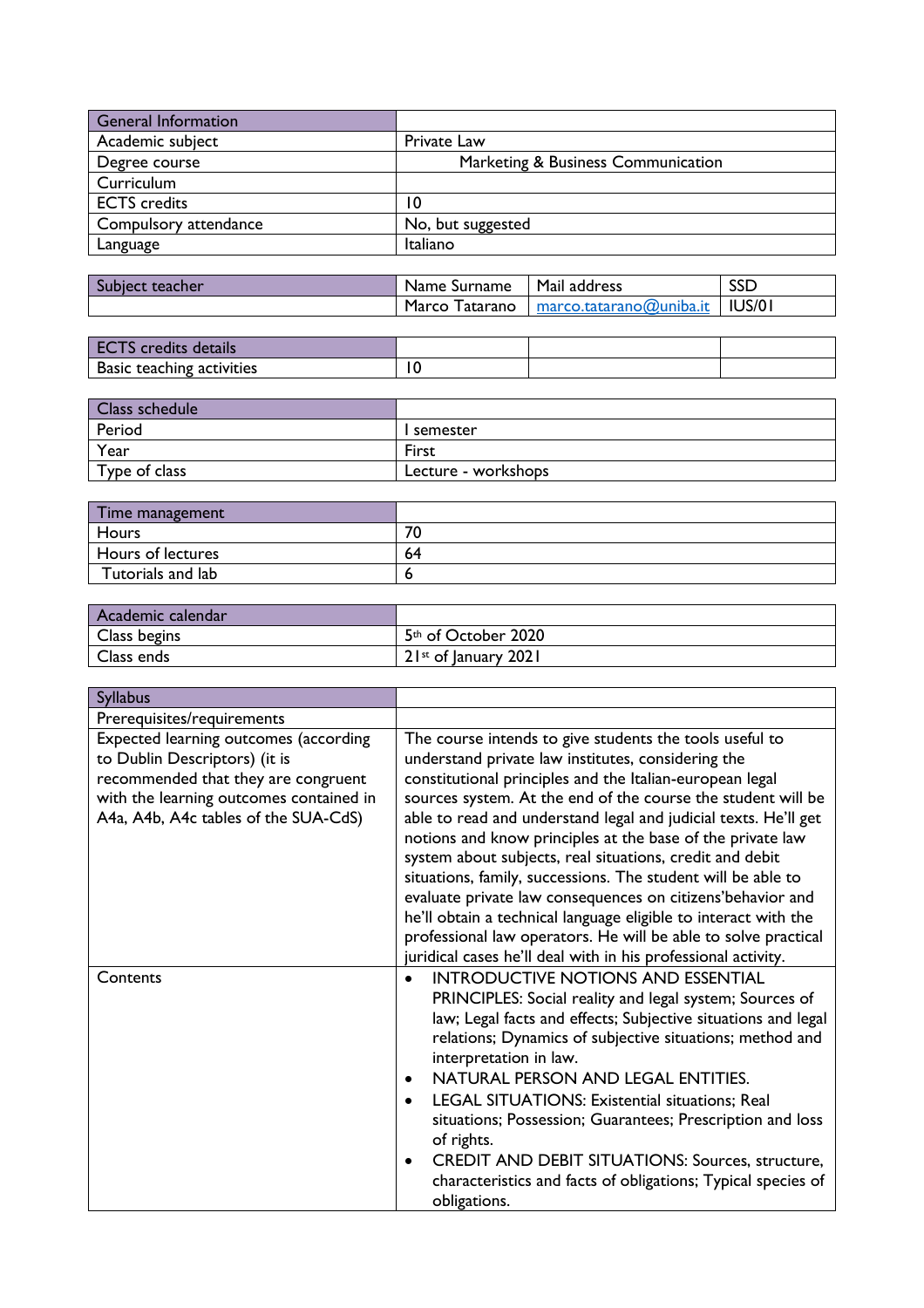| <b>General Information</b> |                                    |
|----------------------------|------------------------------------|
| Academic subject           | Private Law                        |
| Degree course              | Marketing & Business Communication |
| Curriculum                 |                                    |
| <b>ECTS</b> credits        | 10                                 |
| Compulsory attendance      | No, but suggested                  |
| Language                   | Italiano                           |

| <b>Subject</b><br>. teacher | . Surname<br>Name . | Mail address                      | <b>SSD</b> |
|-----------------------------|---------------------|-----------------------------------|------------|
|                             | Marco<br>atarano    | $macro. tatarano(\omega$ uniba.it | IUS/01     |

| details                                 |    |  |
|-----------------------------------------|----|--|
| <b>Basic</b><br>:ivities<br>c teacning. | 'N |  |

| Class schedule |                     |
|----------------|---------------------|
| Period         | semester            |
| Year           | First               |
| Type of class  | Lecture - workshops |

| Time management   |    |
|-------------------|----|
| Hours             | 70 |
| Hours of lectures | 64 |
| Tutorials and lab |    |

| Academic calendar |                                    |
|-------------------|------------------------------------|
| Class begins      | 5 <sup>th</sup> of October 2020    |
| Class ends        | $21$ <sup>st</sup> of January 2021 |

| <b>Syllabus</b>                                                                                                                                                                                  |                                                                                                                                                                                                                                                                                                                                                                                                                                                                                                                                                                                                                                                                                                                                                                            |
|--------------------------------------------------------------------------------------------------------------------------------------------------------------------------------------------------|----------------------------------------------------------------------------------------------------------------------------------------------------------------------------------------------------------------------------------------------------------------------------------------------------------------------------------------------------------------------------------------------------------------------------------------------------------------------------------------------------------------------------------------------------------------------------------------------------------------------------------------------------------------------------------------------------------------------------------------------------------------------------|
| Prerequisites/requirements                                                                                                                                                                       |                                                                                                                                                                                                                                                                                                                                                                                                                                                                                                                                                                                                                                                                                                                                                                            |
| Expected learning outcomes (according<br>to Dublin Descriptors) (it is<br>recommended that they are congruent<br>with the learning outcomes contained in<br>A4a, A4b, A4c tables of the SUA-CdS) | The course intends to give students the tools useful to<br>understand private law institutes, considering the<br>constitutional principles and the Italian-european legal<br>sources system. At the end of the course the student will be<br>able to read and understand legal and judicial texts. He'll get<br>notions and know principles at the base of the private law<br>system about subjects, real situations, credit and debit<br>situations, family, successions. The student will be able to<br>evaluate private law consequences on citizens'behavior and<br>he'll obtain a technical language eligible to interact with the<br>professional law operators. He will be able to solve practical<br>juridical cases he'll deal with in his professional activity. |
| Contents                                                                                                                                                                                         | <b>INTRODUCTIVE NOTIONS AND ESSENTIAL</b><br>PRINCIPLES: Social reality and legal system; Sources of<br>law; Legal facts and effects; Subjective situations and legal<br>relations; Dynamics of subjective situations; method and<br>interpretation in law.<br>NATURAL PERSON AND LEGAL ENTITIES.<br>$\bullet$<br>LEGAL SITUATIONS: Existential situations; Real<br>situations; Possession; Guarantees; Prescription and loss<br>of rights.<br><b>CREDIT AND DEBIT SITUATIONS: Sources, structure,</b><br>٠<br>characteristics and facts of obligations; Typical species of<br>obligations.                                                                                                                                                                                |